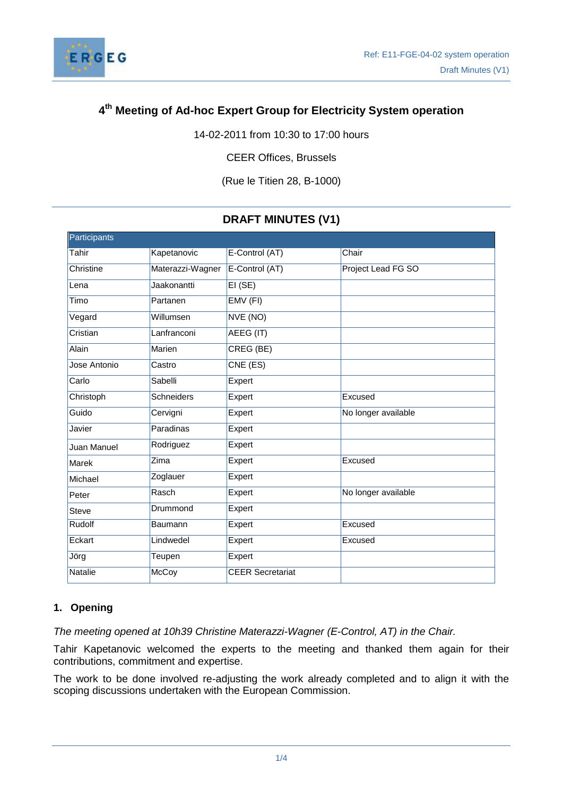

## **4 th Meeting of Ad-hoc Expert Group for Electricity System operation**

14-02-2011 from 10:30 to 17:00 hours

CEER Offices, Brussels

(Rue le Titien 28, B-1000)

# **DRAFT MINUTES (V1)**

| Participants |                  |                         |                     |
|--------------|------------------|-------------------------|---------------------|
| Tahir        | Kapetanovic      | E-Control (AT)          | Chair               |
| Christine    | Materazzi-Wagner | E-Control (AT)          | Project Lead FG SO  |
| Lena         | Jaakonantti      | EI(SE)                  |                     |
| Timo         | Partanen         | EMV (FI)                |                     |
| Vegard       | Willumsen        | NVE (NO)                |                     |
| Cristian     | Lanfranconi      | AEEG (IT)               |                     |
| Alain        | Marien           | CREG (BE)               |                     |
| Jose Antonio | Castro           | CNE (ES)                |                     |
| Carlo        | Sabelli          | Expert                  |                     |
| Christoph    | Schneiders       | Expert                  | Excused             |
| Guido        | Cervigni         | Expert                  | No longer available |
| Javier       | Paradinas        | Expert                  |                     |
| Juan Manuel  | Rodriguez        | Expert                  |                     |
| <b>Marek</b> | Zima             | Expert                  | Excused             |
| Michael      | Zoglauer         | Expert                  |                     |
| Peter        | Rasch            | Expert                  | No longer available |
| Steve        | Drummond         | Expert                  |                     |
| Rudolf       | <b>Baumann</b>   | Expert                  | Excused             |
| Eckart       | Lindwedel        | Expert                  | Excused             |
| Jörg         | Teupen           | Expert                  |                     |
| Natalie      | McCoy            | <b>CEER Secretariat</b> |                     |

## **1. Opening**

*The meeting opened at 10h39 Christine Materazzi-Wagner (E-Control, AT) in the Chair.*

Tahir Kapetanovic welcomed the experts to the meeting and thanked them again for their contributions, commitment and expertise.

The work to be done involved re-adjusting the work already completed and to align it with the scoping discussions undertaken with the European Commission.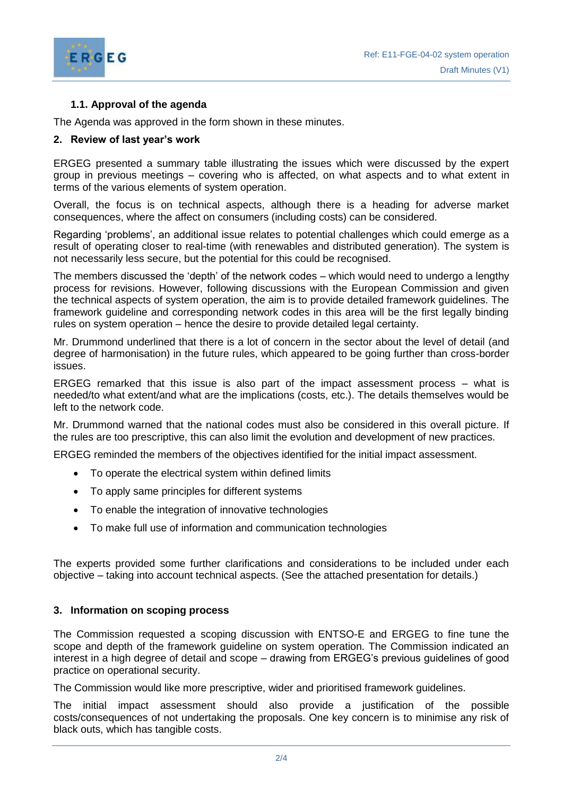



## **1.1. Approval of the agenda**

The Agenda was approved in the form shown in these minutes.

#### **2. Review of last year's work**

ERGEG presented a summary table illustrating the issues which were discussed by the expert group in previous meetings – covering who is affected, on what aspects and to what extent in terms of the various elements of system operation.

Overall, the focus is on technical aspects, although there is a heading for adverse market consequences, where the affect on consumers (including costs) can be considered.

Regarding 'problems', an additional issue relates to potential challenges which could emerge as a result of operating closer to real-time (with renewables and distributed generation). The system is not necessarily less secure, but the potential for this could be recognised.

The members discussed the 'depth' of the network codes – which would need to undergo a lengthy process for revisions. However, following discussions with the European Commission and given the technical aspects of system operation, the aim is to provide detailed framework guidelines. The framework guideline and corresponding network codes in this area will be the first legally binding rules on system operation – hence the desire to provide detailed legal certainty.

Mr. Drummond underlined that there is a lot of concern in the sector about the level of detail (and degree of harmonisation) in the future rules, which appeared to be going further than cross-border issues.

ERGEG remarked that this issue is also part of the impact assessment process – what is needed/to what extent/and what are the implications (costs, etc.). The details themselves would be left to the network code.

Mr. Drummond warned that the national codes must also be considered in this overall picture. If the rules are too prescriptive, this can also limit the evolution and development of new practices.

ERGEG reminded the members of the objectives identified for the initial impact assessment.

- To operate the electrical system within defined limits
- To apply same principles for different systems
- To enable the integration of innovative technologies
- To make full use of information and communication technologies

The experts provided some further clarifications and considerations to be included under each objective – taking into account technical aspects. (See the attached presentation for details.)

#### **3. Information on scoping process**

The Commission requested a scoping discussion with ENTSO-E and ERGEG to fine tune the scope and depth of the framework guideline on system operation. The Commission indicated an interest in a high degree of detail and scope – drawing from ERGEG's previous guidelines of good practice on operational security.

The Commission would like more prescriptive, wider and prioritised framework guidelines.

The initial impact assessment should also provide a justification of the possible costs/consequences of not undertaking the proposals. One key concern is to minimise any risk of black outs, which has tangible costs.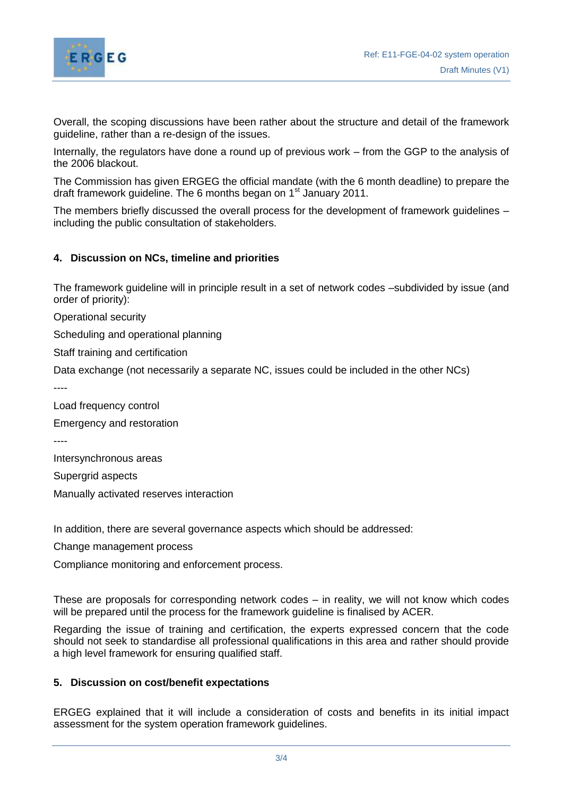

Overall, the scoping discussions have been rather about the structure and detail of the framework guideline, rather than a re-design of the issues.

Internally, the regulators have done a round up of previous work – from the GGP to the analysis of the 2006 blackout.

The Commission has given ERGEG the official mandate (with the 6 month deadline) to prepare the draft framework guideline. The 6 months began on 1<sup>st</sup> January 2011.

The members briefly discussed the overall process for the development of framework guidelines – including the public consultation of stakeholders.

#### **4. Discussion on NCs, timeline and priorities**

The framework guideline will in principle result in a set of network codes –subdivided by issue (and order of priority):

Operational security

Scheduling and operational planning

Staff training and certification

Data exchange (not necessarily a separate NC, issues could be included in the other NCs)

----

Load frequency control

Emergency and restoration

----

Intersynchronous areas

Supergrid aspects

Manually activated reserves interaction

In addition, there are several governance aspects which should be addressed:

Change management process

Compliance monitoring and enforcement process.

These are proposals for corresponding network codes – in reality, we will not know which codes will be prepared until the process for the framework guideline is finalised by ACER.

Regarding the issue of training and certification, the experts expressed concern that the code should not seek to standardise all professional qualifications in this area and rather should provide a high level framework for ensuring qualified staff.

#### **5. Discussion on cost/benefit expectations**

ERGEG explained that it will include a consideration of costs and benefits in its initial impact assessment for the system operation framework guidelines.